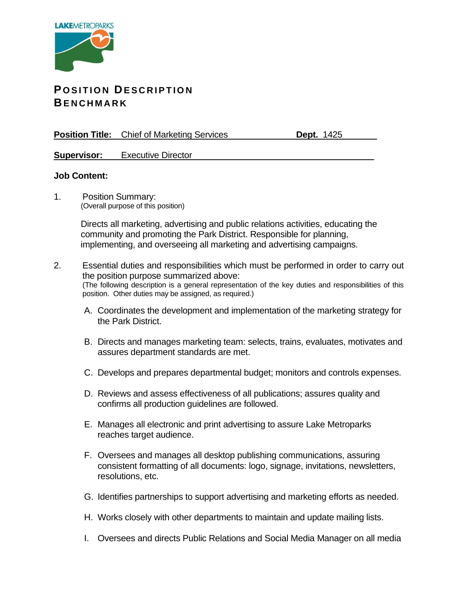

## **POSITION DESCRIPTION BE N C H M A R K**

**Position Title:** Chief of Marketing Services **Dept. 1425** 

**Supervisor:** Executive Director

## **Job Content:**

1. Position Summary: (Overall purpose of this position)

> Directs all marketing, advertising and public relations activities, educating the community and promoting the Park District. Responsible for planning, implementing, and overseeing all marketing and advertising campaigns.

- 2. Essential duties and responsibilities which must be performed in order to carry out the position purpose summarized above: (The following description is a general representation of the key duties and responsibilities of this position. Other duties may be assigned, as required.)
	- A. Coordinates the development and implementation of the marketing strategy for the Park District.
	- B. Directs and manages marketing team: selects, trains, evaluates, motivates and assures department standards are met.
	- C. Develops and prepares departmental budget; monitors and controls expenses.
	- D. Reviews and assess effectiveness of all publications; assures quality and confirms all production guidelines are followed.
	- E. Manages all electronic and print advertising to assure Lake Metroparks reaches target audience.
	- F. Oversees and manages all desktop publishing communications, assuring consistent formatting of all documents: logo, signage, invitations, newsletters, resolutions, etc.
	- G. Identifies partnerships to support advertising and marketing efforts as needed.
	- H. Works closely with other departments to maintain and update mailing lists.
	- I. Oversees and directs Public Relations and Social Media Manager on all media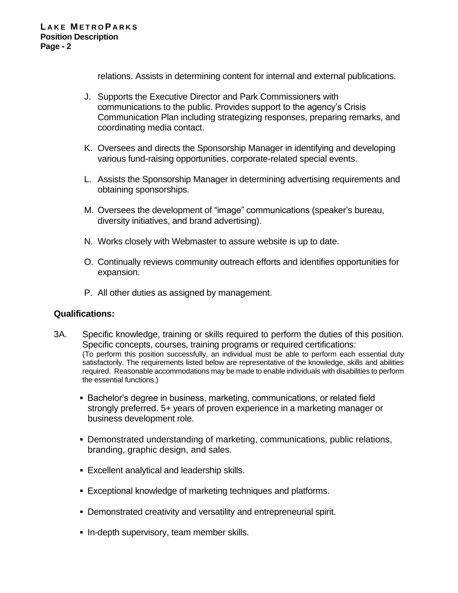relations. Assists in determining content for internal and external publications.

- J. Supports the Executive Director and Park Commissioners with communications to the public. Provides support to the agency's Crisis Communication Plan including strategizing responses, preparing remarks, and coordinating media contact.
- K. Oversees and directs the Sponsorship Manager in identifying and developing various fund-raising opportunities, corporate-related special events.
- L. Assists the Sponsorship Manager in determining advertising requirements and obtaining sponsorships.
- M. Oversees the development of "image" communications (speaker's bureau, diversity initiatives, and brand advertising).
- N. Works closely with Webmaster to assure website is up to date.
- O. Continually reviews community outreach efforts and identifies opportunities for expansion.
- P. All other duties as assigned by management.

## **Qualifications:**

- 3A. Specific knowledge, training or skills required to perform the duties of this position. Specific concepts, courses, training programs or required certifications: (To perform this position successfully, an individual must be able to perform each essential duty satisfactorily. The requirements listed below are representative of the knowledge, skills and abilities required. Reasonable accommodations may be made to enable individuals with disabilities to perform the essential functions.)
	- **EXECT** Bachelor's degree in business, marketing, communications, or related field strongly preferred. 5+ years of proven experience in a marketing manager or business development role.
	- **Demonstrated understanding of marketing, communications, public relations,** branding, graphic design, and sales.
	- Excellent analytical and leadership skills.
	- Exceptional knowledge of marketing techniques and platforms.
	- Demonstrated creativity and versatility and entrepreneurial spirit.
	- In-depth supervisory, team member skills.